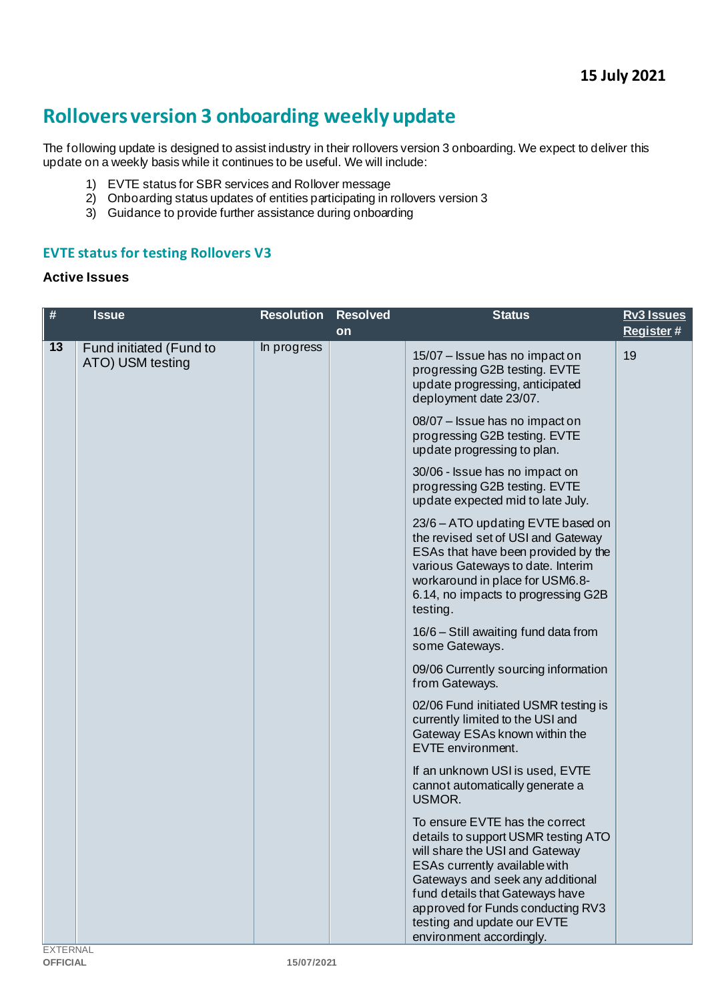# **Rollovers version 3 onboarding weekly update**

The following update is designed to assist industry in their rollovers version 3 onboarding. We expect to deliver this update on a weekly basis while it continues to be useful. We will include:

- 1) EVTE status for SBR services and Rollover message
- 2) Onboarding status updates of entities participating in rollovers version 3
- 3) Guidance to provide further assistance during onboarding

#### **EVTE status for testing Rollovers V3**

#### **Active Issues**

| $\#$            | <b>Issue</b>                                | <b>Resolution</b> | <b>Resolved</b><br>on | <b>Status</b>                                                                                                                                                                                                                                                                                                   | <b>Rv3 Issues</b><br>Register# |
|-----------------|---------------------------------------------|-------------------|-----------------------|-----------------------------------------------------------------------------------------------------------------------------------------------------------------------------------------------------------------------------------------------------------------------------------------------------------------|--------------------------------|
| 13              | Fund initiated (Fund to<br>ATO) USM testing | In progress       |                       | 15/07 - Issue has no impact on<br>progressing G2B testing. EVTE<br>update progressing, anticipated<br>deployment date 23/07.                                                                                                                                                                                    | 19                             |
|                 |                                             |                   |                       | 08/07 - Issue has no impact on<br>progressing G2B testing. EVTE<br>update progressing to plan.                                                                                                                                                                                                                  |                                |
|                 |                                             |                   |                       | 30/06 - Issue has no impact on<br>progressing G2B testing. EVTE<br>update expected mid to late July.                                                                                                                                                                                                            |                                |
|                 |                                             |                   |                       | 23/6 – ATO updating EVTE based on<br>the revised set of USI and Gateway<br>ESAs that have been provided by the<br>various Gateways to date. Interim<br>workaround in place for USM6.8-<br>6.14, no impacts to progressing G2B<br>testing.                                                                       |                                |
|                 |                                             |                   |                       | 16/6 - Still awaiting fund data from<br>some Gateways.                                                                                                                                                                                                                                                          |                                |
|                 |                                             |                   |                       | 09/06 Currently sourcing information<br>from Gateways.                                                                                                                                                                                                                                                          |                                |
|                 |                                             |                   |                       | 02/06 Fund initiated USMR testing is<br>currently limited to the USI and<br>Gateway ESAs known within the<br>EVTE environment.                                                                                                                                                                                  |                                |
|                 |                                             |                   |                       | If an unknown USI is used, EVTE<br>cannot automatically generate a<br>USMOR.                                                                                                                                                                                                                                    |                                |
| <b>EXTERNAI</b> |                                             |                   |                       | To ensure EVTE has the correct<br>details to support USMR testing ATO<br>will share the USI and Gateway<br>ESAs currently available with<br>Gateways and seek any additional<br>fund details that Gateways have<br>approved for Funds conducting RV3<br>testing and update our EVTE<br>environment accordingly. |                                |

EXTERNAL<br>**OFFICIAL**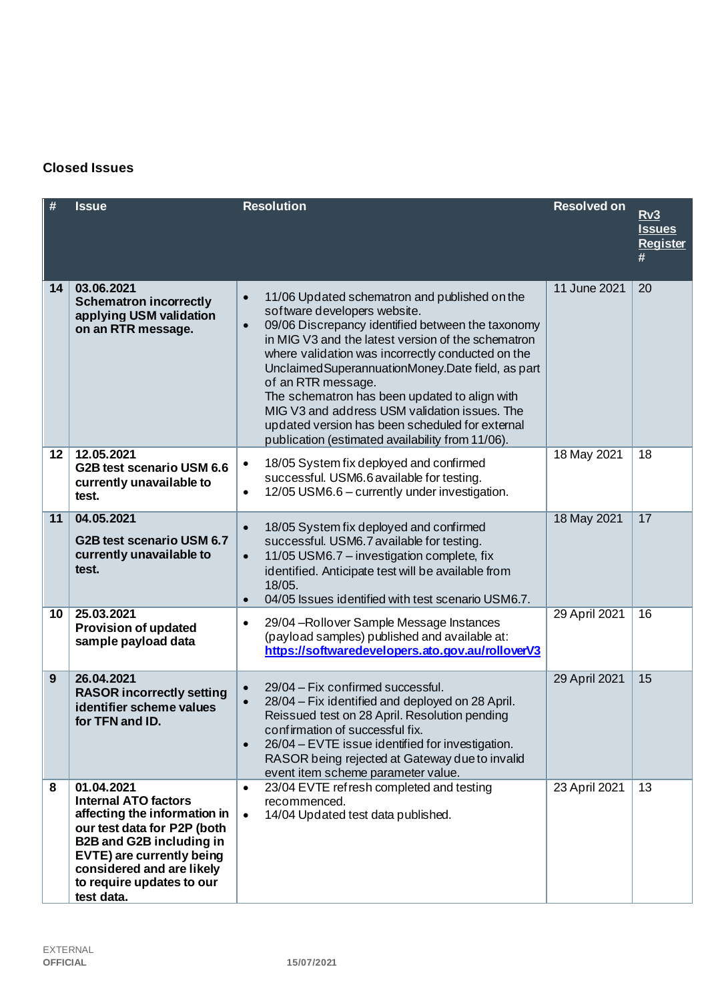# **Closed Issues**

| #               | <b>Issue</b>                                                                                                                                                                                                                                     | <b>Resolution</b>                                                                                                                                                                                                                                                                                                                                                                                                                                                                                                                                             | <b>Resolved on</b> | Rv3<br><b>Issues</b><br><b>Register</b><br># |
|-----------------|--------------------------------------------------------------------------------------------------------------------------------------------------------------------------------------------------------------------------------------------------|---------------------------------------------------------------------------------------------------------------------------------------------------------------------------------------------------------------------------------------------------------------------------------------------------------------------------------------------------------------------------------------------------------------------------------------------------------------------------------------------------------------------------------------------------------------|--------------------|----------------------------------------------|
| 14              | 03.06.2021<br><b>Schematron incorrectly</b><br>applying USM validation<br>on an RTR message.                                                                                                                                                     | 11/06 Updated schematron and published on the<br>$\bullet$<br>software developers website.<br>09/06 Discrepancy identified between the taxonomy<br>$\bullet$<br>in MIG V3 and the latest version of the schematron<br>where validation was incorrectly conducted on the<br>Unclaimed Superannuation Money. Date field, as part<br>of an RTR message.<br>The schematron has been updated to align with<br>MIG V3 and address USM validation issues. The<br>updated version has been scheduled for external<br>publication (estimated availability from 11/06). | 11 June 2021       | 20                                           |
| 12 <sub>2</sub> | 12.05.2021<br>G2B test scenario USM 6.6<br>currently unavailable to<br>test.                                                                                                                                                                     | 18/05 System fix deployed and confirmed<br>$\bullet$<br>successful. USM6.6 available for testing.<br>12/05 USM6.6 - currently under investigation.<br>$\bullet$                                                                                                                                                                                                                                                                                                                                                                                               | 18 May 2021        | 18                                           |
| 11              | 04.05.2021<br>G2B test scenario USM 6.7<br>currently unavailable to<br>test.                                                                                                                                                                     | 18/05 System fix deployed and confirmed<br>$\bullet$<br>successful. USM6.7 available for testing.<br>11/05 USM6.7 - investigation complete, fix<br>$\bullet$<br>identified. Anticipate test will be available from<br>18/05.<br>04/05 Issues identified with test scenario USM6.7.<br>$\bullet$                                                                                                                                                                                                                                                               | 18 May 2021        | 17                                           |
| 10              | 25.03.2021<br><b>Provision of updated</b><br>sample payload data                                                                                                                                                                                 | 29/04 - Rollover Sample Message Instances<br>۰<br>(payload samples) published and available at:<br>https://softwaredevelopers.ato.gov.au/rolloverV3                                                                                                                                                                                                                                                                                                                                                                                                           | 29 April 2021      | 16                                           |
| 9               | 26.04.2021<br><b>RASOR incorrectly setting</b><br>identifier scheme values<br>for TFN and ID.                                                                                                                                                    | 29/04 - Fix confirmed successful.<br>$\bullet$<br>28/04 - Fix identified and deployed on 28 April.<br>Reissued test on 28 April. Resolution pending<br>confirmation of successful fix.<br>26/04 - EVTE issue identified for investigation.<br>$\bullet$<br>RASOR being rejected at Gateway due to invalid<br>event item scheme parameter value.                                                                                                                                                                                                               | 29 April 2021      | 15                                           |
| 8               | 01.04.2021<br><b>Internal ATO factors</b><br>affecting the information in<br>our test data for P2P (both<br><b>B2B and G2B including in</b><br>EVTE) are currently being<br>considered and are likely<br>to require updates to our<br>test data. | 23/04 EVTE refresh completed and testing<br>$\bullet$<br>recommenced.<br>14/04 Updated test data published.<br>$\bullet$                                                                                                                                                                                                                                                                                                                                                                                                                                      | 23 April 2021      | 13                                           |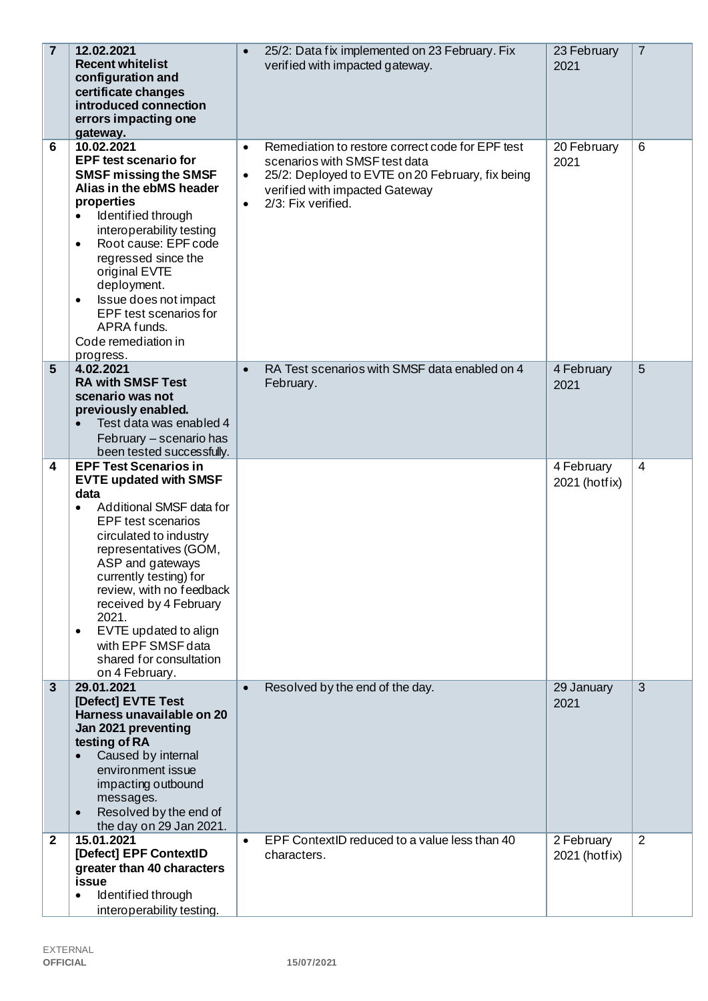| $\overline{7}$ | 12.02.2021<br><b>Recent whitelist</b><br>configuration and<br>certificate changes<br>introduced connection<br>errors impacting one<br>gateway.                                                                                                                                                                                                                                                                       | 25/2: Data fix implemented on 23 February. Fix<br>$\bullet$<br>verified with impacted gateway.                                                                                                                                       | 23 February<br>2021         | $\overline{7}$ |
|----------------|----------------------------------------------------------------------------------------------------------------------------------------------------------------------------------------------------------------------------------------------------------------------------------------------------------------------------------------------------------------------------------------------------------------------|--------------------------------------------------------------------------------------------------------------------------------------------------------------------------------------------------------------------------------------|-----------------------------|----------------|
| 6              | 10.02.2021<br><b>EPF test scenario for</b><br><b>SMSF missing the SMSF</b><br>Alias in the ebMS header<br>properties<br>Identified through<br>$\bullet$<br>interoperability testing<br>Root cause: EPF code<br>$\bullet$<br>regressed since the<br>original EVTE<br>deployment.<br>Issue does not impact<br>٠<br>EPF test scenarios for<br>APRA funds.<br>Code remediation in<br>progress.                           | Remediation to restore correct code for EPF test<br>$\bullet$<br>scenarios with SMSF test data<br>25/2: Deployed to EVTE on 20 February, fix being<br>$\bullet$<br>verified with impacted Gateway<br>2/3: Fix verified.<br>$\bullet$ | 20 February<br>2021         | 6              |
| 5              | 4.02.2021<br><b>RA with SMSF Test</b><br>scenario was not<br>previously enabled.<br>Test data was enabled 4<br>February - scenario has<br>been tested successfully.                                                                                                                                                                                                                                                  | RA Test scenarios with SMSF data enabled on 4<br>$\bullet$<br>February.                                                                                                                                                              | 4 February<br>2021          | 5              |
| 4              | <b>EPF Test Scenarios in</b><br><b>EVTE updated with SMSF</b><br>data<br>Additional SMSF data for<br>$\bullet$<br><b>EPF</b> test scenarios<br>circulated to industry<br>representatives (GOM,<br>ASP and gateways<br>currently testing) for<br>review, with no feedback<br>received by 4 February<br>2021.<br>EVTE updated to align<br>$\bullet$<br>with EPF SMSF data<br>shared for consultation<br>on 4 February. |                                                                                                                                                                                                                                      | 4 February<br>2021 (hotfix) | $\overline{4}$ |
| 3              | 29.01.2021<br>[Defect] EVTE Test<br>Harness unavailable on 20<br>Jan 2021 preventing<br>testing of RA<br>Caused by internal<br>environment issue<br>impacting outbound<br>messages.<br>Resolved by the end of<br>$\bullet$<br>the day on 29 Jan 2021.                                                                                                                                                                | Resolved by the end of the day.<br>$\bullet$                                                                                                                                                                                         | 29 January<br>2021          | $\overline{3}$ |
| 2              | 15.01.2021<br>[Defect] EPF ContextID<br>greater than 40 characters<br>issue<br>Identified through<br>$\bullet$<br>interoperability testing.                                                                                                                                                                                                                                                                          | EPF ContextID reduced to a value less than 40<br>$\bullet$<br>characters.                                                                                                                                                            | 2 February<br>2021 (hotfix) | 2              |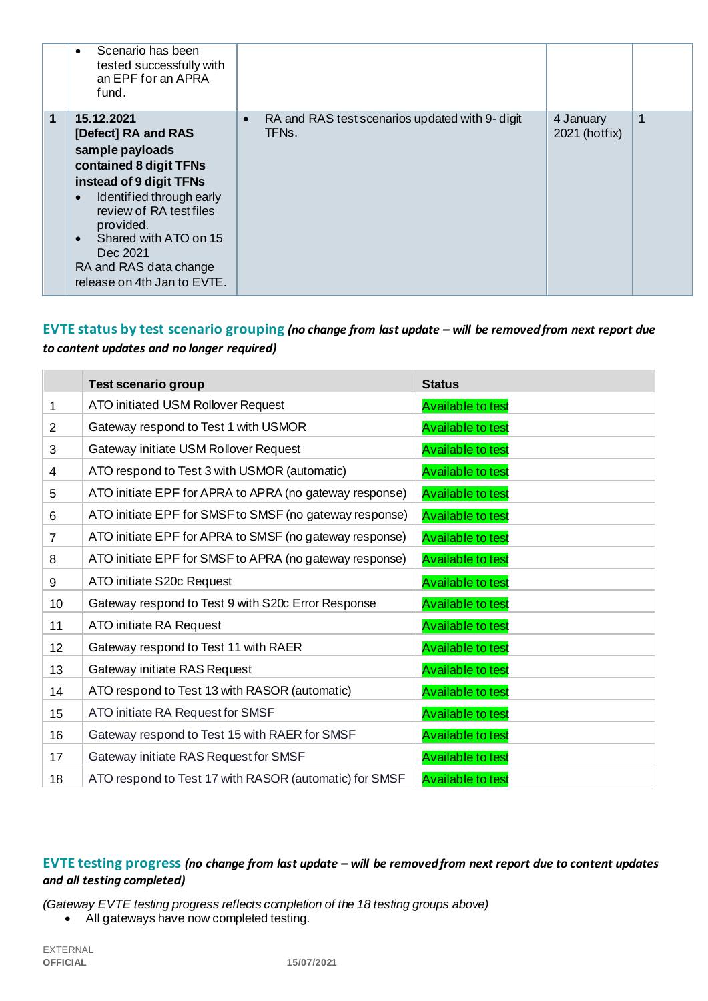|   | Scenario has been<br>tested successfully with<br>an EPF for an APRA<br>fund.                                                                                                                                                                                                                          |                                                                       |                            |   |
|---|-------------------------------------------------------------------------------------------------------------------------------------------------------------------------------------------------------------------------------------------------------------------------------------------------------|-----------------------------------------------------------------------|----------------------------|---|
| 1 | 15.12.2021<br>[Defect] RA and RAS<br>sample payloads<br>contained 8 digit TFNs<br>instead of 9 digit TFNs<br>Identified through early<br>$\bullet$<br>review of RA test files<br>provided.<br>Shared with ATO on 15<br>$\bullet$<br>Dec 2021<br>RA and RAS data change<br>release on 4th Jan to EVTE. | RA and RAS test scenarios updated with 9- digit<br>$\bullet$<br>TFNs. | 4 January<br>2021 (hotfix) | 1 |

# **EVTE status by test scenario grouping** *(no change from last update – will be removed from next report due to content updates and no longer required)*

|                 | <b>Test scenario group</b>                              | <b>Status</b>            |
|-----------------|---------------------------------------------------------|--------------------------|
| 1               | ATO initiated USM Rollover Request                      | <b>Available to test</b> |
| $\overline{2}$  | Gateway respond to Test 1 with USMOR                    | <b>Available to test</b> |
| 3               | Gateway initiate USM Rollover Request                   | <b>Available to test</b> |
| 4               | ATO respond to Test 3 with USMOR (automatic)            | <b>Available to test</b> |
| 5               | ATO initiate EPF for APRA to APRA (no gateway response) | <b>Available to test</b> |
| 6               | ATO initiate EPF for SMSF to SMSF (no gateway response) | <b>Available to test</b> |
| $\overline{7}$  | ATO initiate EPF for APRA to SMSF (no gateway response) | <b>Available to test</b> |
| 8               | ATO initiate EPF for SMSF to APRA (no gateway response) | <b>Available to test</b> |
| 9               | ATO initiate S20c Request                               | <b>Available to test</b> |
| 10 <sup>°</sup> | Gateway respond to Test 9 with S20c Error Response      | <b>Available to test</b> |
| 11              | ATO initiate RA Request                                 | <b>Available to test</b> |
| 12              | Gateway respond to Test 11 with RAER                    | <b>Available to test</b> |
| 13              | Gateway initiate RAS Request                            | <b>Available to test</b> |
| 14              | ATO respond to Test 13 with RASOR (automatic)           | <b>Available to test</b> |
| 15              | ATO initiate RA Request for SMSF                        | <b>Available to test</b> |
| 16              | Gateway respond to Test 15 with RAER for SMSF           | <b>Available to test</b> |
| 17              | Gateway initiate RAS Request for SMSF                   | <b>Available to test</b> |
| 18              | ATO respond to Test 17 with RASOR (automatic) for SMSF  | <b>Available to test</b> |

# **EVTE testing progress** *(no change from last update – will be removed from next report due to content updates and all testing completed)*

*(Gateway EVTE testing progress reflects completion of the 18 testing groups above)*

• All gateways have now completed testing.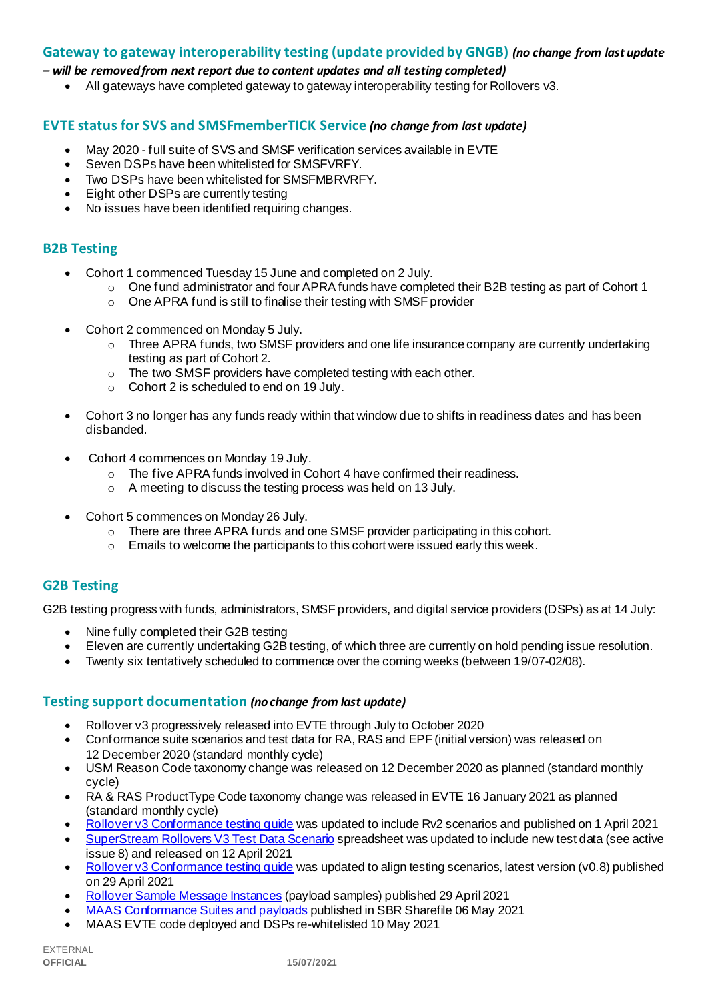#### **Gateway to gateway interoperability testing (update provided by GNGB)** *(no change from last update*

#### *– will be removed from next report due to content updates and all testing completed)*

• All gateways have completed gateway to gateway interoperability testing for Rollovers v3.

#### **EVTE status for SVS and SMSFmemberTICK Service** *(no change from last update)*

- May 2020 full suite of SVS and SMSF verification services available in EVTE
- Seven DSPs have been whitelisted for SMSFVRFY.
- Two DSPs have been whitelisted for SMSFMBRVRFY.
- Eight other DSPs are currently testing
- No issues have been identified requiring changes.

#### **B2B Testing**

- Cohort 1 commenced Tuesday 15 June and completed on 2 July.
	- $\circ$  One fund administrator and four APRA funds have completed their B2B testing as part of Cohort 1
		- o One APRA fund is still to finalise their testing with SMSF provider
- Cohort 2 commenced on Monday 5 July.
	- o Three APRA funds, two SMSF providers and one life insurance company are currently undertaking testing as part of Cohort 2.
	- o The two SMSF providers have completed testing with each other.
	- o Cohort 2 is scheduled to end on 19 July.
- Cohort 3 no longer has any funds ready within that window due to shifts in readiness dates and has been disbanded.
- Cohort 4 commences on Monday 19 July.
	- o The five APRA funds involved in Cohort 4 have confirmed their readiness.
	- o A meeting to discuss the testing process was held on 13 July.
- Cohort 5 commences on Monday 26 July.
	- o There are three APRA funds and one SMSF provider participating in this cohort.
	- o Emails to welcome the participants to this cohort were issued early this week.

# **G2B Testing**

G2B testing progress with funds, administrators, SMSF providers, and digital service providers (DSPs) as at 14 July:

- Nine fully completed their G2B testing
- Eleven are currently undertaking G2B testing, of which three are currently on hold pending issue resolution.
- Twenty six tentatively scheduled to commence over the coming weeks (between 19/07-02/08).

#### **Testing support documentation** *(no change from last update)*

- Rollover v3 progressively released into EVTE through July to October 2020
- Conformance suite scenarios and test data for RA, RAS and EPF (initial version) was released on 12 December 2020 (standard monthly cycle)
- USM Reason Code taxonomy change was released on 12 December 2020 as planned (standard monthly cycle)
- RA & RAS ProductType Code taxonomy change was released in EVTE 16 January 2021 as planned (standard monthly cycle)
- Rollover v3 [Conformance testing guide](https://softwaredevelopers.ato.gov.au/rolloverV3) was updated to include Rv2 scenarios and published on 1 April 2021
- [SuperStream Rollovers V3 Test Data Scenario](https://softwaredevelopers.ato.gov.au/sites/default/files/2021-04/SuperStream_RolloversV3_Test_Data_Scenario_V1.0.xlsx) spreadsheet was updated to include new test data (see active issue 8) and released on 12 April 2021
- Rollover v3 Conformance testing quide was updated to align testing scenarios, latest version (v0.8) published on 29 April 2021
- [Rollover Sample Message Instances](https://softwaredevelopers.ato.gov.au/rolloverV3) (payload samples) published 29 April 2021
- [MAAS Conformance Suites and payloads](https://standardbusinessreporting.sharefile.com/home/shared/fod63f12-7bbb-4c61-96e7-33dc9eae4d9a) published in SBR Sharefile 06 May 2021
- MAAS EVTE code deployed and DSPs re-whitelisted 10 May 2021